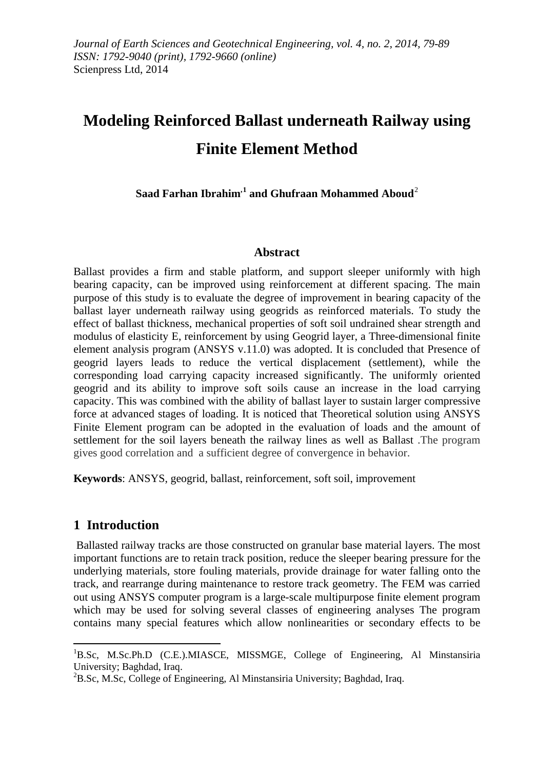# **Modeling Reinforced Ballast underneath Railway using Finite Element Method**

**Saad Farhan Ibrahim,[1](#page-0-0) and Ghufraan Mohammed Aboud**[2](#page-0-1)

## **Abstract**

Ballast provides a firm and stable platform, and support sleeper uniformly with high bearing capacity, can be improved using reinforcement at different spacing. The main purpose of this study is to evaluate the degree of improvement in bearing capacity of the ballast layer underneath railway using geogrids as reinforced materials. To study the effect of ballast thickness, mechanical properties of soft soil undrained shear strength and modulus of elasticity E, reinforcement by using Geogrid layer, a Three-dimensional finite element analysis program (ANSYS v.11.0) was adopted. It is concluded that Presence of geogrid layers leads to reduce the vertical displacement (settlement), while the corresponding load carrying capacity increased significantly. The uniformly oriented geogrid and its ability to improve soft soils cause an increase in the load carrying capacity. This was combined with the ability of ballast layer to sustain larger compressive force at advanced stages of loading. It is noticed that Theoretical solution using ANSYS Finite Element program can be adopted in the evaluation of loads and the amount of settlement for the soil layers beneath the railway lines as well as Ballast .The program gives good correlation and a sufficient degree of convergence in behavior.

**Keywords**: ANSYS, geogrid, ballast, reinforcement, soft soil, improvement

# **1 Introduction**

**.** 

Ballasted railway tracks are those constructed on granular base material layers. The most important functions are to retain track position, reduce the sleeper bearing pressure for the underlying materials, store fouling materials, provide drainage for water falling onto the track, and rearrange during maintenance to restore track geometry. The FEM was carried out using ANSYS computer program is a large-scale multipurpose finite element program which may be used for solving several classes of engineering analyses The program contains many special features which allow nonlinearities or secondary effects to be

<span id="page-0-0"></span><sup>&</sup>lt;sup>1</sup>B.Sc, M.Sc.Ph.D (C.E.).MIASCE, MISSMGE, College of Engineering, Al Minstansiria University; Baghdad, Iraq. <sup>2</sup>

<span id="page-0-1"></span> ${}^{2}$ B.Sc, M.Sc, College of Engineering, Al Minstansiria University; Baghdad, Iraq.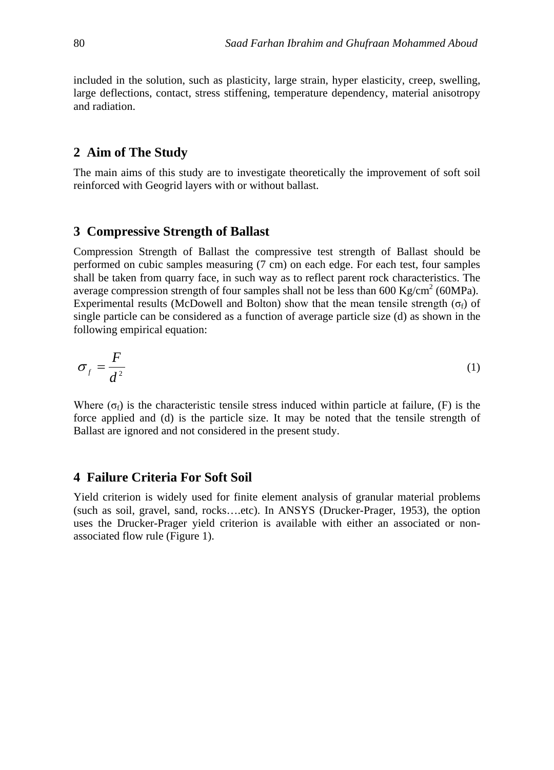included in the solution, such as plasticity, large strain, hyper elasticity, creep, swelling, large deflections, contact, stress stiffening, temperature dependency, material anisotropy and radiation.

#### **2 Aim of The Study**

The main aims of this study are to investigate theoretically the improvement of soft soil reinforced with Geogrid layers with or without ballast.

#### **3 Compressive Strength of Ballast**

Compression Strength of Ballast the compressive test strength of Ballast should be performed on cubic samples measuring (7 cm) on each edge. For each test, four samples shall be taken from quarry face, in such way as to reflect parent rock characteristics. The average compression strength of four samples shall not be less than  $600 \text{ Kg/cm}^2$  (60MPa). Experimental results (McDowell and Bolton) show that the mean tensile strength ( $\sigma_f$ ) of single particle can be considered as a function of average particle size (d) as shown in the following empirical equation:

$$
\sigma_f = \frac{F}{d^2} \tag{1}
$$

Where ( $\sigma_f$ ) is the characteristic tensile stress induced within particle at failure, (F) is the force applied and (d) is the particle size. It may be noted that the tensile strength of Ballast are ignored and not considered in the present study.

## **4 Failure Criteria For Soft Soil**

Yield criterion is widely used for finite element analysis of granular material problems (such as soil, gravel, sand, rocks….etc). In ANSYS (Drucker-Prager, 1953), the option uses the Drucker-Prager yield criterion is available with either an associated or nonassociated flow rule (Figure 1).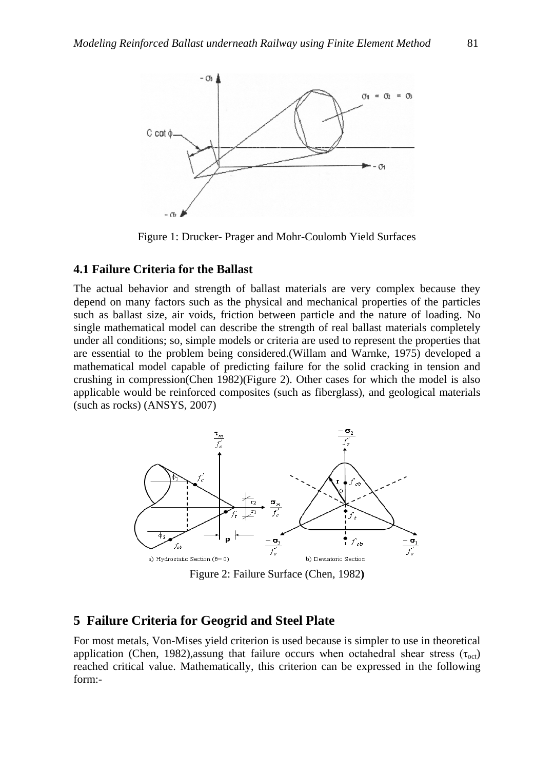

Figure 1: Drucker- Prager and Mohr-Coulomb Yield Surfaces

#### **4.1 Failure Criteria for the Ballast**

The actual behavior and strength of ballast materials are very complex because they depend on many factors such as the physical and mechanical properties of the particles such as ballast size, air voids, friction between particle and the nature of loading. No single mathematical model can describe the strength of real ballast materials completely under all conditions; so, simple models or criteria are used to represent the properties that are essential to the problem being considered.(Willam and Warnke, 1975) developed a mathematical model capable of predicting failure for the solid cracking in tension and crushing in compression(Chen 1982)(Figure 2). Other cases for which the model is also applicable would be reinforced composites (such as fiberglass), and geological materials (such as rocks) (ANSYS, 2007)



Figure 2: Failure Surface (Chen, 1982**)**

#### **5 Failure Criteria for Geogrid and Steel Plate**

For most metals, Von-Mises yield criterion is used because is simpler to use in theoretical application (Chen, 1982), assung that failure occurs when octahedral shear stress ( $\tau_{\rm oct}$ ) reached critical value. Mathematically, this criterion can be expressed in the following form:-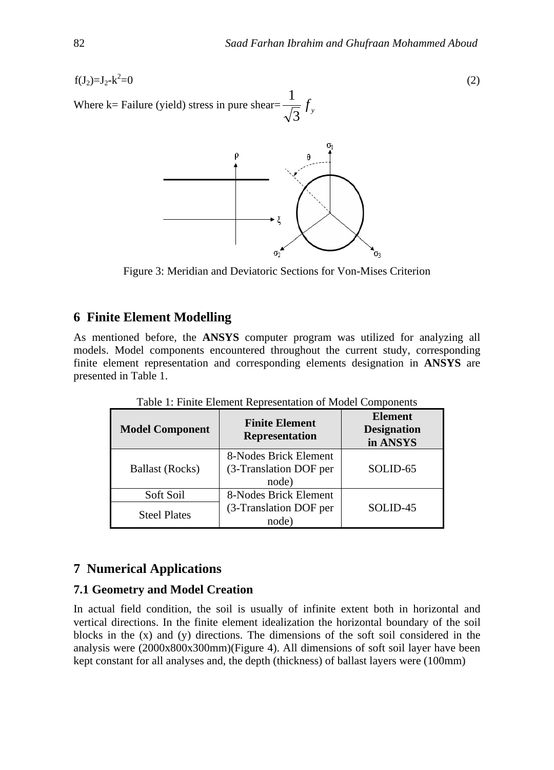$f(J_2)=J_2-k^2=0$  $=0$  (2)

Where k= Failure (yield) stress in pure shear=  $\frac{1}{\sqrt{3}} f$ 1



Figure 3: Meridian and Deviatoric Sections for Von-Mises Criterion

# **6 Finite Element Modelling**

As mentioned before, the **ANSYS** computer program was utilized for analyzing all models. Model components encountered throughout the current study, corresponding finite element representation and corresponding elements designation in **ANSYS** are presented in Table 1.

| <b>Model Component</b> | <b>Finite Element</b><br><b>Representation</b>           | <b>Element</b><br><b>Designation</b><br>in ANSYS |
|------------------------|----------------------------------------------------------|--------------------------------------------------|
| <b>Ballast (Rocks)</b> | 8-Nodes Brick Element<br>(3-Translation DOF per<br>node) | SOLID-65                                         |
| Soft Soil              | 8-Nodes Brick Element                                    |                                                  |
| <b>Steel Plates</b>    | (3-Translation DOF per<br>node)                          | SOLID-45                                         |

Table 1: Finite Element Representation of Model Components

# **7 Numerical Applications**

## **7.1 Geometry and Model Creation**

In actual field condition, the soil is usually of infinite extent both in horizontal and vertical directions. In the finite element idealization the horizontal boundary of the soil blocks in the (x) and (y) directions. The dimensions of the soft soil considered in the analysis were (2000x800x300mm)(Figure 4). All dimensions of soft soil layer have been kept constant for all analyses and, the depth (thickness) of ballast layers were (100mm)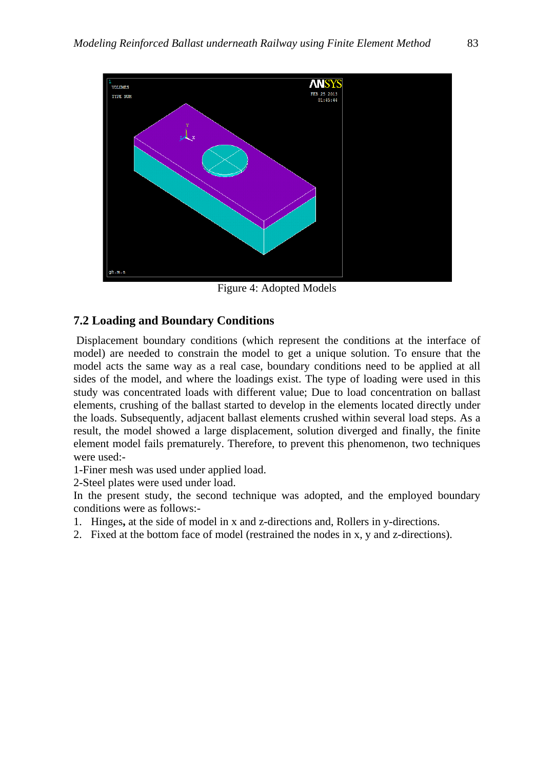

Figure 4: Adopted Models

## **7.2 Loading and Boundary Conditions**

Displacement boundary conditions (which represent the conditions at the interface of model) are needed to constrain the model to get a unique solution. To ensure that the model acts the same way as a real case, boundary conditions need to be applied at all sides of the model, and where the loadings exist. The type of loading were used in this study was concentrated loads with different value; Due to load concentration on ballast elements, crushing of the ballast started to develop in the elements located directly under the loads. Subsequently, adjacent ballast elements crushed within several load steps. As a result, the model showed a large displacement, solution diverged and finally, the finite element model fails prematurely. Therefore, to prevent this phenomenon, two techniques were used:-

1-Finer mesh was used under applied load.

2-Steel plates were used under load.

In the present study, the second technique was adopted, and the employed boundary conditions were as follows:-

- 1. Hinges**,** at the side of model in x and z-directions and, Rollers in y-directions.
- 2. Fixed at the bottom face of model (restrained the nodes in x, y and z-directions).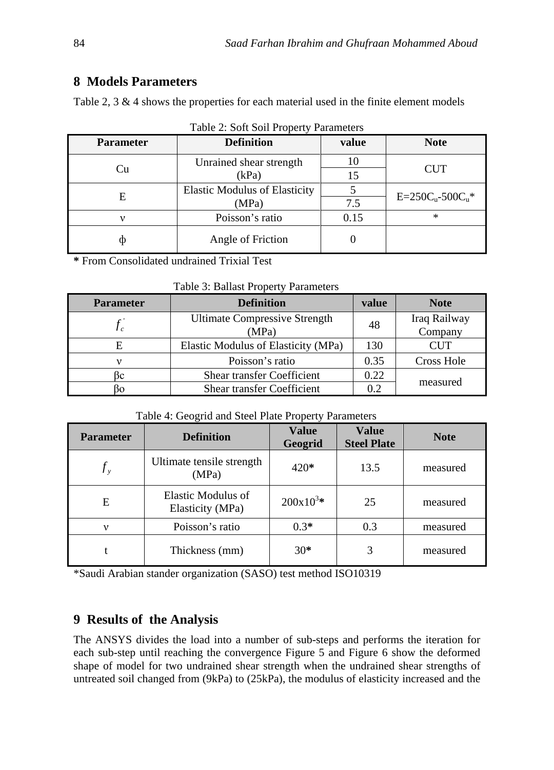# **8 Models Parameters**

Table 2, 3 & 4 shows the properties for each material used in the finite element models

| <b>Parameter</b> | <b>Definition</b>                             | value    | <b>Note</b>           |
|------------------|-----------------------------------------------|----------|-----------------------|
| Cu               | Unrained shear strength<br>(kPa)              | 10<br>15 | <b>CUT</b>            |
| E                | <b>Elastic Modulus of Elasticity</b><br>(MPa) | 7.5      | $E = 250Cu - 500Cu$ * |
|                  | Poisson's ratio                               | 0.15     | $\ast$                |
|                  | Angle of Friction                             |          |                       |

|  |  |  | Table 2: Soft Soil Property Parameters |
|--|--|--|----------------------------------------|
|--|--|--|----------------------------------------|

**\*** From Consolidated undrained Trixial Test

|  |  |  | Table 3: Ballast Property Parameters |
|--|--|--|--------------------------------------|
|--|--|--|--------------------------------------|

| <b>Parameter</b> | <b>Definition</b>                             | value | <b>Note</b>             |
|------------------|-----------------------------------------------|-------|-------------------------|
|                  | <b>Ultimate Compressive Strength</b><br>(MPa) | 48    | Iraq Railway<br>Company |
|                  | Elastic Modulus of Elasticity (MPa)           | 130   | <b>CUT</b>              |
|                  | Poisson's ratio                               |       | Cross Hole              |
|                  | <b>Shear transfer Coefficient</b>             | 0.22  |                         |
|                  | <b>Shear transfer Coefficient</b>             | 02    | measured                |

### Table 4: Geogrid and Steel Plate Property Parameters

| <b>Parameter</b> | <b>Definition</b>                      | <b>Value</b><br>Geogrid | <b>Value</b><br><b>Steel Plate</b> | <b>Note</b> |
|------------------|----------------------------------------|-------------------------|------------------------------------|-------------|
| $f_{v}$          | Ultimate tensile strength<br>(MPa)     | $420*$                  | 13.5                               | measured    |
| E                | Elastic Modulus of<br>Elasticity (MPa) | $200x10^{3*}$           | 25                                 | measured    |
| $\mathbf v$      | Poisson's ratio                        | $0.3*$                  | 0.3                                | measured    |
|                  | Thickness (mm)                         | $30*$                   | 3                                  | measured    |

\*Saudi Arabian stander organization (SASO) test method ISO10319

# **9 Results of the Analysis**

The ANSYS divides the load into a number of sub-steps and performs the iteration for each sub-step until reaching the convergence Figure 5 and Figure 6 show the deformed shape of model for two undrained shear strength when the undrained shear strengths of untreated soil changed from (9kPa) to (25kPa), the modulus of elasticity increased and the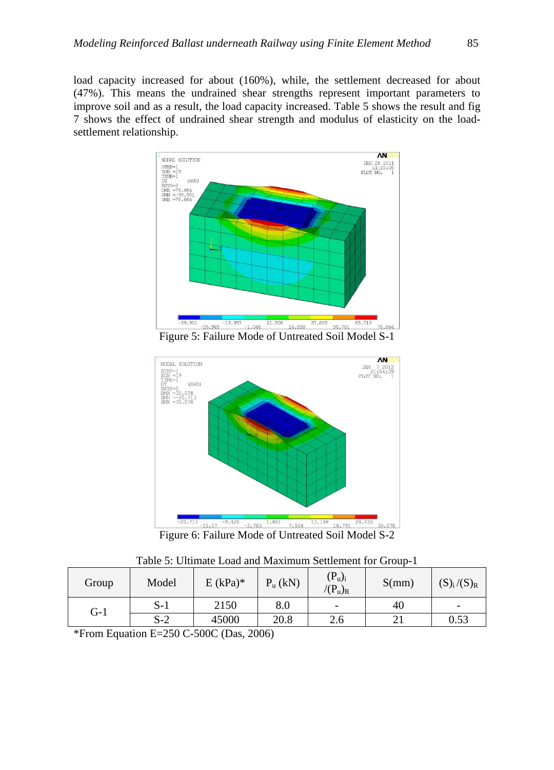load capacity increased for about (160%), while, the settlement decreased for about (47%). This means the undrained shear strengths represent important parameters to improve soil and as a result, the load capacity increased. Table 5 shows the result and fig 7 shows the effect of undrained shear strength and modulus of elasticity on the loadsettlement relationship.



Figure 5: Failure Mode of Untreated Soil Model S-1



| Group | Model | $E (kPa)*$ | $P_u(kN)$ | $(P_u)_i$<br>$P(u)_{R}$ | S(mm) | $(S)_i/(S)_R$ |
|-------|-------|------------|-----------|-------------------------|-------|---------------|
| $G-1$ | $S-1$ | 2150       | 8.0       | -                       | 40    | -             |
|       | $S-2$ | 45000      | 20.8      | 2.6                     |       | 0.53          |

\*From Equation E=250 C-500C (Das, 2006)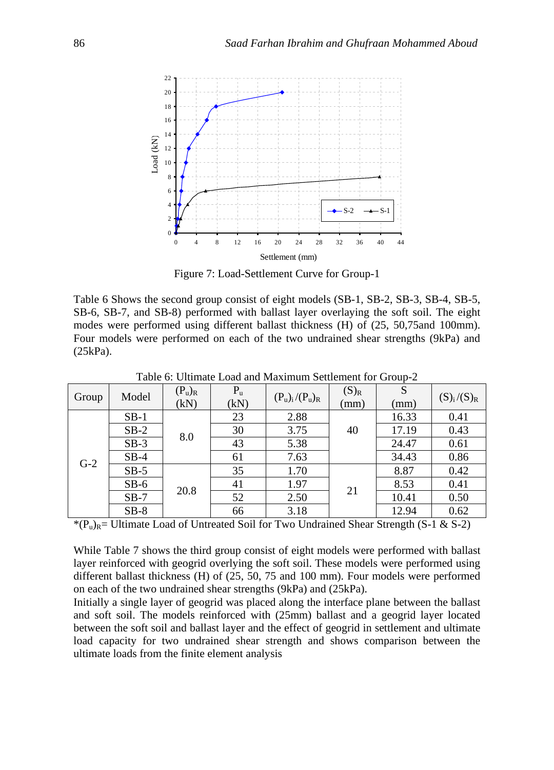

Figure 7: Load-Settlement Curve for Group-1

Table 6 Shows the second group consist of eight models (SB-1, SB-2, SB-3, SB-4, SB-5, SB-6, SB-7, and SB-8) performed with ballast layer overlaying the soft soil. The eight modes were performed using different ballast thickness (H) of (25, 50,75and 100mm). Four models were performed on each of the two undrained shear strengths (9kPa) and (25kPa).

| Group | Model  | $(P_u)_R$<br>(kN) | $P_{u}$<br>(kN) | $(P_u)_i/(P_u)_R$ | $(S)_R$<br>(mm) | S<br>(mm) | $(S)_i / (S)_R$ |
|-------|--------|-------------------|-----------------|-------------------|-----------------|-----------|-----------------|
|       | $SB-1$ |                   | 23              | 2.88              |                 | 16.33     | 0.41            |
|       | $SB-2$ | 8.0               | 30              | 3.75              | 40              | 17.19     | 0.43            |
|       | $SB-3$ |                   | 43              | 5.38              |                 | 24.47     | 0.61            |
|       | $SB-4$ |                   | 61              | 7.63              |                 | 34.43     | 0.86            |
| $G-2$ | $SB-5$ |                   | 35              | 1.70              |                 | 8.87      | 0.42            |
|       | $SB-6$ | 20.8              | 41              | 1.97              |                 | 8.53      | 0.41            |
|       | $SB-7$ |                   | 52              | 2.50              | 21              | 10.41     | 0.50            |
|       | $SB-8$ |                   | 66              | 3.18              |                 | 12.94     | 0.62            |

Table 6: Ultimate Load and Maximum Settlement for Group-2

 $*(P_u)_{R}$ = Ultimate Load of Untreated Soil for Two Undrained Shear Strength (S-1 & S-2)

While Table 7 shows the third group consist of eight models were performed with ballast layer reinforced with geogrid overlying the soft soil. These models were performed using different ballast thickness (H) of (25, 50, 75 and 100 mm). Four models were performed on each of the two undrained shear strengths (9kPa) and (25kPa).

Initially a single layer of geogrid was placed along the interface plane between the ballast and soft soil. The models reinforced with (25mm) ballast and a geogrid layer located between the soft soil and ballast layer and the effect of geogrid in settlement and ultimate load capacity for two undrained shear strength and shows comparison between the ultimate loads from the finite element analysis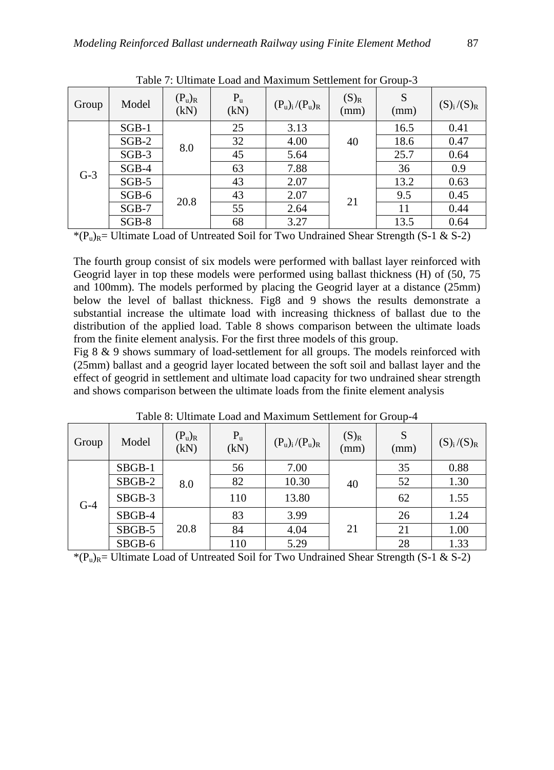| Group | Model   | $(P_u)_R$<br>(kN) | $P_{u}$<br>(kN) | $(P_u)_i/(P_u)_R$ | $(S)_R$<br>(mm) | S<br>(mm) | $(S)_i/(S)_R$ |
|-------|---------|-------------------|-----------------|-------------------|-----------------|-----------|---------------|
|       | $SGB-1$ |                   | 25              | 3.13              |                 | 16.5      | 0.41          |
|       | $SGB-2$ | 8.0               | 32              | 4.00              | 40              | 18.6      | 0.47          |
|       | $SGB-3$ |                   | 45              | 5.64              |                 | 25.7      | 0.64          |
| $G-3$ | $SGB-4$ |                   | 63              | 7.88              |                 | 36        | 0.9           |
|       | $SGB-5$ |                   | 43              | 2.07              |                 | 13.2      | 0.63          |
|       | $SGB-6$ | 20.8              | 43              | 2.07              | 21              | 9.5       | 0.45          |
|       | $SGB-7$ |                   | 55              | 2.64              |                 | 11        | 0.44          |
|       | $SGB-8$ |                   | 68              | 3.27              |                 | 13.5      | 0.64          |

Table 7: Ultimate Load and Maximum Settlement for Group-3

 $*(P_u)_{R}$ = Ultimate Load of Untreated Soil for Two Undrained Shear Strength (S-1 & S-2)

The fourth group consist of six models were performed with ballast layer reinforced with Geogrid layer in top these models were performed using ballast thickness (H) of (50, 75 and 100mm). The models performed by placing the Geogrid layer at a distance (25mm) below the level of ballast thickness. Fig8 and 9 shows the results demonstrate a substantial increase the ultimate load with increasing thickness of ballast due to the distribution of the applied load. Table 8 shows comparison between the ultimate loads from the finite element analysis. For the first three models of this group.

Fig 8 & 9 shows summary of load-settlement for all groups. The models reinforced with (25mm) ballast and a geogrid layer located between the soft soil and ballast layer and the effect of geogrid in settlement and ultimate load capacity for two undrained shear strength and shows comparison between the ultimate loads from the finite element analysis

| Group | Model  | $(P_u)_R$<br>(kN) | $P_u$<br>(kN) | $(P_u)_i/(P_u)_R$ | $(S)_R$<br>(mm) | S<br>(mm) | $(S)_i/(S)_R$ |
|-------|--------|-------------------|---------------|-------------------|-----------------|-----------|---------------|
|       | SBGB-1 |                   | 56            | 7.00              |                 | 35        | 0.88          |
|       | SBGB-2 | 8.0               | 82            | 10.30             | 40              | 52        | 1.30          |
| $G-4$ | SBGB-3 |                   | 110           | 13.80             |                 | 62        | 1.55          |
|       | SBGB-4 |                   | 83            | 3.99              |                 | 26        | 1.24          |
|       | SBGB-5 | 20.8              | 84            | 4.04              | 21              | 21        | 1.00          |
|       | SBGB-6 |                   | 110           | 5.29              |                 | 28        | 1.33          |

Table 8: Ultimate Load and Maximum Settlement for Group-4

\* $(P_{\nu})_R$ = Ultimate Load of Untreated Soil for Two Undrained Shear Strength (S-1 & S-2)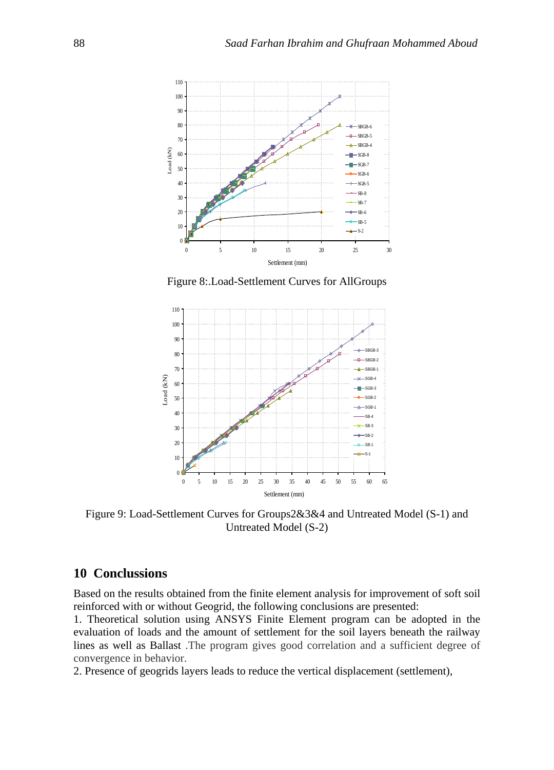

Figure 8:.Load-Settlement Curves for AllGroups



Figure 9: Load-Settlement Curves for Groups2&3&4 and Untreated Model (S-1) and Untreated Model (S-2)

## **10 Conclussions**

Based on the results obtained from the finite element analysis for improvement of soft soil reinforced with or without Geogrid, the following conclusions are presented:

1. Theoretical solution using ANSYS Finite Element program can be adopted in the evaluation of loads and the amount of settlement for the soil layers beneath the railway lines as well as Ballast .The program gives good correlation and a sufficient degree of convergence in behavior.

2. Presence of geogrids layers leads to reduce the vertical displacement (settlement),